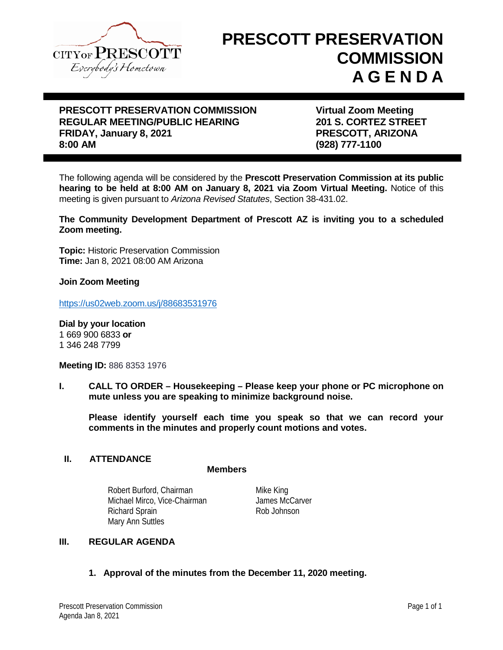

# **PRESCOTT PRESERVATION COMMISSION A G E N D A**

# **PRESCOTT PRESERVATION COMMISSION FRESCOTT PRESERVATION COMMISSION FRAGULAR MEETING/PUBLIC HEARING FRAGULARY STATES STREET REGULAR MEETING/PUBLIC HEARING FRIDAY, January 8, 2021 PRESCOTT, ARIZONA**

**8:00 AM (928) 777-1100**

The following agenda will be considered by the **Prescott Preservation Commission at its public hearing to be held at 8:00 AM on January 8, 2021 via Zoom Virtual Meeting.** Notice of this meeting is given pursuant to *Arizona Revised Statutes*, Section 38-431.02.

**The Community Development Department of Prescott AZ is inviting you to a scheduled Zoom meeting.**

**Topic:** Historic Preservation Commission **Time:** Jan 8, 2021 08:00 AM Arizona

**Join Zoom Meeting**

<https://us02web.zoom.us/j/88683531976>

**Dial by your location**  1 669 900 6833 **or** 1 346 248 7799

**Meeting ID:** 886 8353 1976

**I. CALL TO ORDER – Housekeeping – Please keep your phone or PC microphone on mute unless you are speaking to minimize background noise.**

**Please identify yourself each time you speak so that we can record your comments in the minutes and properly count motions and votes.**

### **II. ATTENDANCE**

#### **Members**

Robert Burford, Chairman Michael Mirco, Vice-Chairman Richard Sprain Rob Johnson Mary Ann Suttles

Mike King James McCarver

# **III. REGULAR AGENDA**

**1. Approval of the minutes from the December 11, 2020 meeting.**